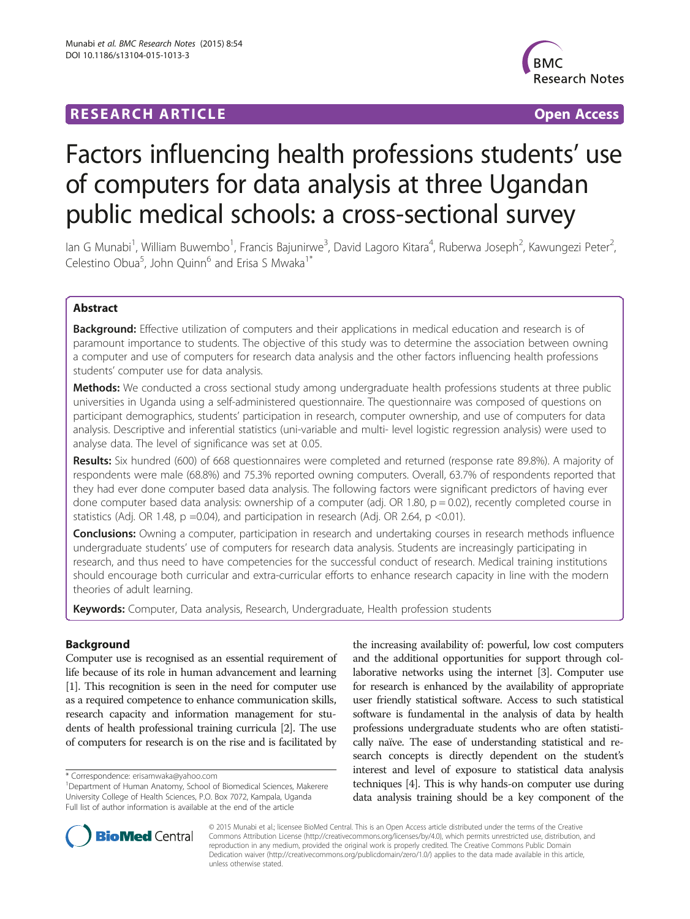# **RESEARCH ARTICLE Example 2018 12:00 Department of the CONNECTION CONNECTION CONNECTION CONNECTION**



# Factors influencing health professions students' use of computers for data analysis at three Ugandan public medical schools: a cross-sectional survey

lan G Munabi<sup>1</sup>, William Buwembo<sup>1</sup>, Francis Bajunirwe<sup>3</sup>, David Lagoro Kitara<sup>4</sup>, Ruberwa Joseph<sup>2</sup>, Kawungezi Peter<sup>2</sup> .<br>, Celestino Obua<sup>5</sup>, John Quinn<sup>6</sup> and Erisa S Mwaka<sup>1\*</sup>

# Abstract

Background: Effective utilization of computers and their applications in medical education and research is of paramount importance to students. The objective of this study was to determine the association between owning a computer and use of computers for research data analysis and the other factors influencing health professions students' computer use for data analysis.

**Methods:** We conducted a cross sectional study among undergraduate health professions students at three public universities in Uganda using a self-administered questionnaire. The questionnaire was composed of questions on participant demographics, students' participation in research, computer ownership, and use of computers for data analysis. Descriptive and inferential statistics (uni-variable and multi- level logistic regression analysis) were used to analyse data. The level of significance was set at 0.05.

Results: Six hundred (600) of 668 questionnaires were completed and returned (response rate 89.8%). A majority of respondents were male (68.8%) and 75.3% reported owning computers. Overall, 63.7% of respondents reported that they had ever done computer based data analysis. The following factors were significant predictors of having ever done computer based data analysis: ownership of a computer (adj. OR 1.80,  $p = 0.02$ ), recently completed course in statistics (Adj. OR 1.48,  $p = 0.04$ ), and participation in research (Adj. OR 2.64,  $p < 0.01$ ).

Conclusions: Owning a computer, participation in research and undertaking courses in research methods influence undergraduate students' use of computers for research data analysis. Students are increasingly participating in research, and thus need to have competencies for the successful conduct of research. Medical training institutions should encourage both curricular and extra-curricular efforts to enhance research capacity in line with the modern theories of adult learning.

Keywords: Computer, Data analysis, Research, Undergraduate, Health profession students

# Background

Computer use is recognised as an essential requirement of life because of its role in human advancement and learning [[1](#page-5-0)]. This recognition is seen in the need for computer use as a required competence to enhance communication skills, research capacity and information management for students of health professional training curricula [\[2\]](#page-5-0). The use of computers for research is on the rise and is facilitated by

the increasing availability of: powerful, low cost computers and the additional opportunities for support through collaborative networks using the internet [\[3\]](#page-5-0). Computer use for research is enhanced by the availability of appropriate user friendly statistical software. Access to such statistical software is fundamental in the analysis of data by health professions undergraduate students who are often statistically naïve. The ease of understanding statistical and research concepts is directly dependent on the student's interest and level of exposure to statistical data analysis techniques [\[4\]](#page-5-0). This is why hands-on computer use during data analysis training should be a key component of the



© 2015 Munabi et al.; licensee BioMed Central. This is an Open Access article distributed under the terms of the Creative Commons Attribution License [\(http://creativecommons.org/licenses/by/4.0\)](http://creativecommons.org/licenses/by/4.0), which permits unrestricted use, distribution, and reproduction in any medium, provided the original work is properly credited. The Creative Commons Public Domain Dedication waiver [\(http://creativecommons.org/publicdomain/zero/1.0/](http://creativecommons.org/publicdomain/zero/1.0/)) applies to the data made available in this article, unless otherwise stated.

<sup>\*</sup> Correspondence: [erisamwaka@yahoo.com](mailto:erisamwaka@yahoo.com) <sup>1</sup>

<sup>&</sup>lt;sup>1</sup>Department of Human Anatomy, School of Biomedical Sciences, Makerere University College of Health Sciences, P.O. Box 7072, Kampala, Uganda Full list of author information is available at the end of the article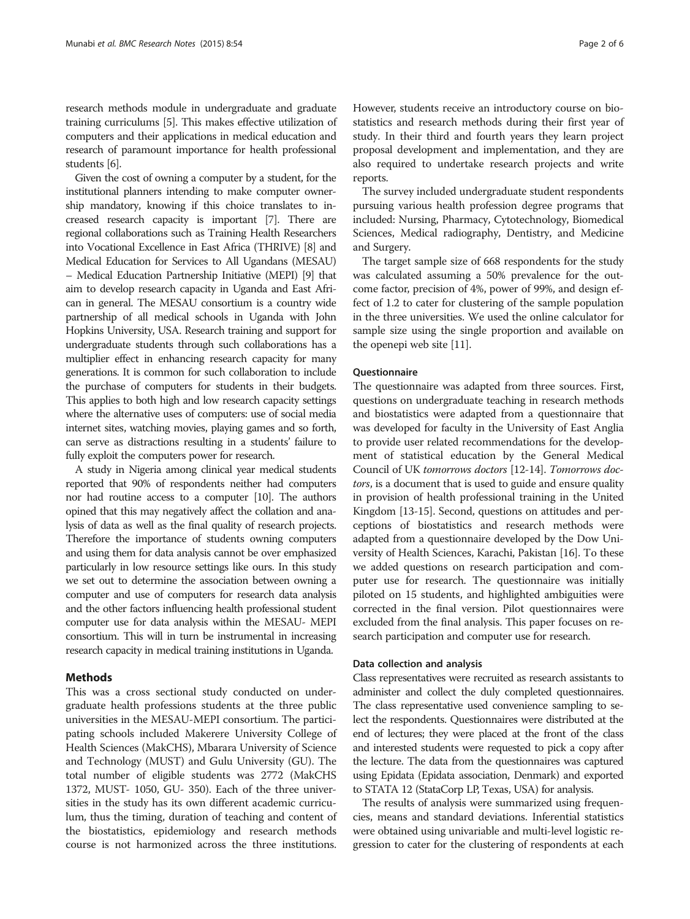research methods module in undergraduate and graduate training curriculums [[5](#page-5-0)]. This makes effective utilization of computers and their applications in medical education and research of paramount importance for health professional students [\[6\]](#page-5-0).

Given the cost of owning a computer by a student, for the institutional planners intending to make computer ownership mandatory, knowing if this choice translates to increased research capacity is important [[7](#page-5-0)]. There are regional collaborations such as Training Health Researchers into Vocational Excellence in East Africa (THRIVE) [\[8\]](#page-5-0) and Medical Education for Services to All Ugandans (MESAU) – Medical Education Partnership Initiative (MEPI) [\[9\]](#page-5-0) that aim to develop research capacity in Uganda and East African in general. The MESAU consortium is a country wide partnership of all medical schools in Uganda with John Hopkins University, USA. Research training and support for undergraduate students through such collaborations has a multiplier effect in enhancing research capacity for many generations. It is common for such collaboration to include the purchase of computers for students in their budgets. This applies to both high and low research capacity settings where the alternative uses of computers: use of social media internet sites, watching movies, playing games and so forth, can serve as distractions resulting in a students' failure to fully exploit the computers power for research.

A study in Nigeria among clinical year medical students reported that 90% of respondents neither had computers nor had routine access to a computer [\[10](#page-5-0)]. The authors opined that this may negatively affect the collation and analysis of data as well as the final quality of research projects. Therefore the importance of students owning computers and using them for data analysis cannot be over emphasized particularly in low resource settings like ours. In this study we set out to determine the association between owning a computer and use of computers for research data analysis and the other factors influencing health professional student computer use for data analysis within the MESAU- MEPI consortium. This will in turn be instrumental in increasing research capacity in medical training institutions in Uganda.

# Methods

This was a cross sectional study conducted on undergraduate health professions students at the three public universities in the MESAU-MEPI consortium. The participating schools included Makerere University College of Health Sciences (MakCHS), Mbarara University of Science and Technology (MUST) and Gulu University (GU). The total number of eligible students was 2772 (MakCHS 1372, MUST- 1050, GU- 350). Each of the three universities in the study has its own different academic curriculum, thus the timing, duration of teaching and content of the biostatistics, epidemiology and research methods course is not harmonized across the three institutions. However, students receive an introductory course on biostatistics and research methods during their first year of study. In their third and fourth years they learn project proposal development and implementation, and they are also required to undertake research projects and write reports.

The survey included undergraduate student respondents pursuing various health profession degree programs that included: Nursing, Pharmacy, Cytotechnology, Biomedical Sciences, Medical radiography, Dentistry, and Medicine and Surgery.

The target sample size of 668 respondents for the study was calculated assuming a 50% prevalence for the outcome factor, precision of 4%, power of 99%, and design effect of 1.2 to cater for clustering of the sample population in the three universities. We used the online calculator for sample size using the single proportion and available on the openepi web site [\[11\]](#page-5-0).

# Questionnaire

The questionnaire was adapted from three sources. First, questions on undergraduate teaching in research methods and biostatistics were adapted from a questionnaire that was developed for faculty in the University of East Anglia to provide user related recommendations for the development of statistical education by the General Medical Council of UK tomorrows doctors [[12](#page-5-0)-[14](#page-5-0)]. Tomorrows doctors, is a document that is used to guide and ensure quality in provision of health professional training in the United Kingdom [[13-15\]](#page-5-0). Second, questions on attitudes and perceptions of biostatistics and research methods were adapted from a questionnaire developed by the Dow University of Health Sciences, Karachi, Pakistan [\[16\]](#page-5-0). To these we added questions on research participation and computer use for research. The questionnaire was initially piloted on 15 students, and highlighted ambiguities were corrected in the final version. Pilot questionnaires were excluded from the final analysis. This paper focuses on research participation and computer use for research.

# Data collection and analysis

Class representatives were recruited as research assistants to administer and collect the duly completed questionnaires. The class representative used convenience sampling to select the respondents. Questionnaires were distributed at the end of lectures; they were placed at the front of the class and interested students were requested to pick a copy after the lecture. The data from the questionnaires was captured using Epidata (Epidata association, Denmark) and exported to STATA 12 (StataCorp LP, Texas, USA) for analysis.

The results of analysis were summarized using frequencies, means and standard deviations. Inferential statistics were obtained using univariable and multi-level logistic regression to cater for the clustering of respondents at each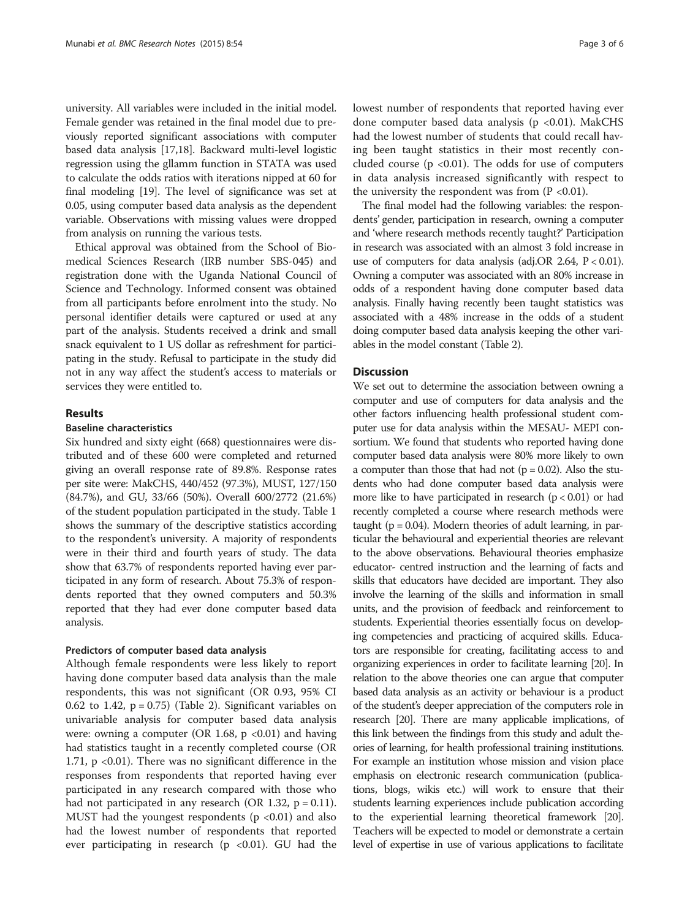university. All variables were included in the initial model. Female gender was retained in the final model due to previously reported significant associations with computer based data analysis [[17,18](#page-5-0)]. Backward multi-level logistic regression using the gllamm function in STATA was used to calculate the odds ratios with iterations nipped at 60 for final modeling [\[19\]](#page-5-0). The level of significance was set at 0.05, using computer based data analysis as the dependent variable. Observations with missing values were dropped from analysis on running the various tests.

Ethical approval was obtained from the School of Biomedical Sciences Research (IRB number SBS-045) and registration done with the Uganda National Council of Science and Technology. Informed consent was obtained from all participants before enrolment into the study. No personal identifier details were captured or used at any part of the analysis. Students received a drink and small snack equivalent to 1 US dollar as refreshment for participating in the study. Refusal to participate in the study did not in any way affect the student's access to materials or services they were entitled to.

# Results

# Baseline characteristics

Six hundred and sixty eight (668) questionnaires were distributed and of these 600 were completed and returned giving an overall response rate of 89.8%. Response rates per site were: MakCHS, 440/452 (97.3%), MUST, 127/150 (84.7%), and GU, 33/66 (50%). Overall 600/2772 (21.6%) of the student population participated in the study. Table [1](#page-3-0) shows the summary of the descriptive statistics according to the respondent's university. A majority of respondents were in their third and fourth years of study. The data show that 63.7% of respondents reported having ever participated in any form of research. About 75.3% of respondents reported that they owned computers and 50.3% reported that they had ever done computer based data analysis.

# Predictors of computer based data analysis

Although female respondents were less likely to report having done computer based data analysis than the male respondents, this was not significant (OR 0.93, 95% CI 0.62 to 1.42,  $p = 0.75$ ) (Table [2\)](#page-3-0). Significant variables on univariable analysis for computer based data analysis were: owning a computer (OR 1.68,  $p \lt 0.01$ ) and having had statistics taught in a recently completed course (OR 1.71, p <0.01). There was no significant difference in the responses from respondents that reported having ever participated in any research compared with those who had not participated in any research (OR 1.32,  $p = 0.11$ ). MUST had the youngest respondents ( $p < 0.01$ ) and also had the lowest number of respondents that reported ever participating in research ( $p \le 0.01$ ). GU had the lowest number of respondents that reported having ever done computer based data analysis (p <0.01). MakCHS had the lowest number of students that could recall having been taught statistics in their most recently concluded course ( $p < 0.01$ ). The odds for use of computers in data analysis increased significantly with respect to the university the respondent was from  $(P \le 0.01)$ .

The final model had the following variables: the respondents' gender, participation in research, owning a computer and 'where research methods recently taught?' Participation in research was associated with an almost 3 fold increase in use of computers for data analysis (adj.OR 2.64, P < 0.01). Owning a computer was associated with an 80% increase in odds of a respondent having done computer based data analysis. Finally having recently been taught statistics was associated with a 48% increase in the odds of a student doing computer based data analysis keeping the other variables in the model constant (Table [2\)](#page-3-0).

# **Discussion**

We set out to determine the association between owning a computer and use of computers for data analysis and the other factors influencing health professional student computer use for data analysis within the MESAU- MEPI consortium. We found that students who reported having done computer based data analysis were 80% more likely to own a computer than those that had not  $(p = 0.02)$ . Also the students who had done computer based data analysis were more like to have participated in research  $(p < 0.01)$  or had recently completed a course where research methods were taught ( $p = 0.04$ ). Modern theories of adult learning, in particular the behavioural and experiential theories are relevant to the above observations. Behavioural theories emphasize educator- centred instruction and the learning of facts and skills that educators have decided are important. They also involve the learning of the skills and information in small units, and the provision of feedback and reinforcement to students. Experiential theories essentially focus on developing competencies and practicing of acquired skills. Educators are responsible for creating, facilitating access to and organizing experiences in order to facilitate learning [\[20](#page-5-0)]. In relation to the above theories one can argue that computer based data analysis as an activity or behaviour is a product of the student's deeper appreciation of the computers role in research [[20\]](#page-5-0). There are many applicable implications, of this link between the findings from this study and adult theories of learning, for health professional training institutions. For example an institution whose mission and vision place emphasis on electronic research communication (publications, blogs, wikis etc.) will work to ensure that their students learning experiences include publication according to the experiential learning theoretical framework [\[20](#page-5-0)]. Teachers will be expected to model or demonstrate a certain level of expertise in use of various applications to facilitate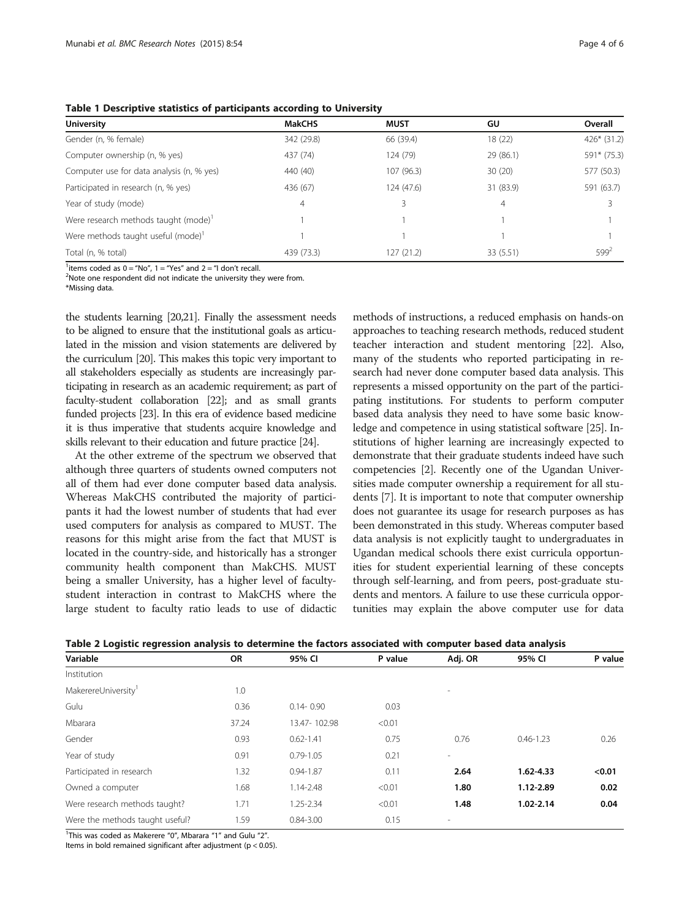<span id="page-3-0"></span>

| Table 1 Descriptive statistics of participants according to University |  |  |  |  |
|------------------------------------------------------------------------|--|--|--|--|
|------------------------------------------------------------------------|--|--|--|--|

| <b>MakCHS</b> | <b>MUST</b> | GU        | Overall      |  |  |  |  |  |  |
|---------------|-------------|-----------|--------------|--|--|--|--|--|--|
| 342 (29.8)    | 66 (39.4)   | 18 (22)   | $426*(31.2)$ |  |  |  |  |  |  |
| 437 (74)      | 124 (79)    | 29 (86.1) | 591* (75.3)  |  |  |  |  |  |  |
| 440 (40)      | 107 (96.3)  | 30(20)    | 577 (50.3)   |  |  |  |  |  |  |
| 436 (67)      | 124 (47.6)  | 31 (83.9) | 591 (63.7)   |  |  |  |  |  |  |
| 4             |             | 4         |              |  |  |  |  |  |  |
|               |             |           |              |  |  |  |  |  |  |
|               |             |           |              |  |  |  |  |  |  |
| 439 (73.3)    | 127 (21.2)  | 33 (5.51) | $599^2$      |  |  |  |  |  |  |
|               |             |           |              |  |  |  |  |  |  |

<sup>1</sup> items coded as  $0 = "No", 1 = "Yes"$  and  $2 = "I don't recall.]$ <br><sup>2</sup> Note one respondent did not indicate the university the

<sup>2</sup>Note one respondent did not indicate the university they were from.

\*Missing data.

the students learning [\[20,21\]](#page-5-0). Finally the assessment needs to be aligned to ensure that the institutional goals as articulated in the mission and vision statements are delivered by the curriculum [\[20](#page-5-0)]. This makes this topic very important to all stakeholders especially as students are increasingly participating in research as an academic requirement; as part of faculty-student collaboration [[22\]](#page-5-0); and as small grants funded projects [\[23](#page-5-0)]. In this era of evidence based medicine it is thus imperative that students acquire knowledge and skills relevant to their education and future practice [\[24](#page-5-0)].

At the other extreme of the spectrum we observed that although three quarters of students owned computers not all of them had ever done computer based data analysis. Whereas MakCHS contributed the majority of participants it had the lowest number of students that had ever used computers for analysis as compared to MUST. The reasons for this might arise from the fact that MUST is located in the country-side, and historically has a stronger community health component than MakCHS. MUST being a smaller University, has a higher level of facultystudent interaction in contrast to MakCHS where the large student to faculty ratio leads to use of didactic

methods of instructions, a reduced emphasis on hands-on approaches to teaching research methods, reduced student teacher interaction and student mentoring [\[22](#page-5-0)]. Also, many of the students who reported participating in research had never done computer based data analysis. This represents a missed opportunity on the part of the participating institutions. For students to perform computer based data analysis they need to have some basic knowledge and competence in using statistical software [\[25\]](#page-5-0). Institutions of higher learning are increasingly expected to demonstrate that their graduate students indeed have such competencies [\[2](#page-5-0)]. Recently one of the Ugandan Universities made computer ownership a requirement for all students [\[7](#page-5-0)]. It is important to note that computer ownership does not guarantee its usage for research purposes as has been demonstrated in this study. Whereas computer based data analysis is not explicitly taught to undergraduates in Ugandan medical schools there exist curricula opportunities for student experiential learning of these concepts through self-learning, and from peers, post-graduate students and mentors. A failure to use these curricula opportunities may explain the above computer use for data

| OR    | 95% CI        | P value | Adj. OR                  | 95% CI        | P value |
|-------|---------------|---------|--------------------------|---------------|---------|
|       |               |         |                          |               |         |
| 1.0   |               |         |                          |               |         |
| 0.36  | $0.14 - 0.90$ | 0.03    |                          |               |         |
| 37.24 | 13.47-102.98  | < 0.01  |                          |               |         |
| 0.93  | $0.62 - 1.41$ | 0.75    | 0.76                     | $0.46 - 1.23$ | 0.26    |
| 0.91  | $0.79 - 1.05$ | 0.21    | $\overline{\phantom{a}}$ |               |         |
| 1.32  | $0.94 - 1.87$ | 0.11    | 2.64                     | $1.62 - 4.33$ | < 0.01  |
| 1.68  | 1.14-2.48     | < 0.01  | 1.80                     | 1.12-2.89     | 0.02    |
| 1.71  | 1.25-2.34     | < 0.01  | 1.48                     | 1.02-2.14     | 0.04    |
| 1.59  | $0.84 - 3.00$ | 0.15    | ۰                        |               |         |
|       |               |         |                          |               |         |

Table 2 Logistic regression analysis to determine the factors associated with computer based data analysis

<sup>1</sup>This was coded as Makerere "0", Mbarara "1" and Gulu "2".

Items in bold remained significant after adjustment (p < 0.05).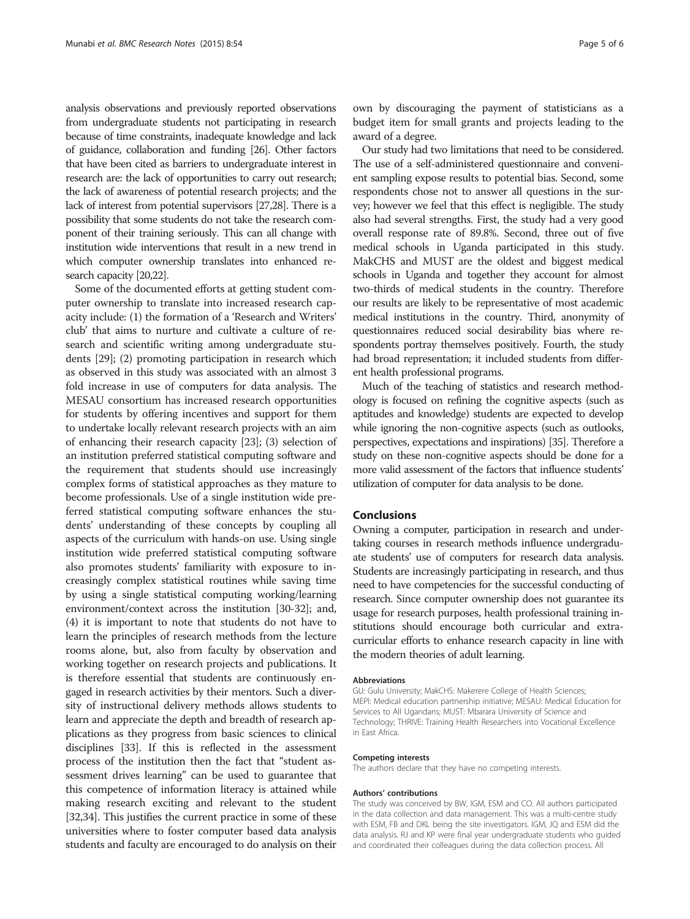analysis observations and previously reported observations from undergraduate students not participating in research because of time constraints, inadequate knowledge and lack of guidance, collaboration and funding [\[26](#page-5-0)]. Other factors that have been cited as barriers to undergraduate interest in research are: the lack of opportunities to carry out research; the lack of awareness of potential research projects; and the lack of interest from potential supervisors [[27,28](#page-5-0)]. There is a possibility that some students do not take the research component of their training seriously. This can all change with institution wide interventions that result in a new trend in which computer ownership translates into enhanced research capacity [\[20,22\]](#page-5-0).

Some of the documented efforts at getting student computer ownership to translate into increased research capacity include: (1) the formation of a 'Research and Writers' club' that aims to nurture and cultivate a culture of research and scientific writing among undergraduate students [\[29\]](#page-5-0); (2) promoting participation in research which as observed in this study was associated with an almost 3 fold increase in use of computers for data analysis. The MESAU consortium has increased research opportunities for students by offering incentives and support for them to undertake locally relevant research projects with an aim of enhancing their research capacity [\[23\]](#page-5-0); (3) selection of an institution preferred statistical computing software and the requirement that students should use increasingly complex forms of statistical approaches as they mature to become professionals. Use of a single institution wide preferred statistical computing software enhances the students' understanding of these concepts by coupling all aspects of the curriculum with hands-on use. Using single institution wide preferred statistical computing software also promotes students' familiarity with exposure to increasingly complex statistical routines while saving time by using a single statistical computing working/learning environment/context across the institution [\[30-32\]](#page-5-0); and, (4) it is important to note that students do not have to learn the principles of research methods from the lecture rooms alone, but, also from faculty by observation and working together on research projects and publications. It is therefore essential that students are continuously engaged in research activities by their mentors. Such a diversity of instructional delivery methods allows students to learn and appreciate the depth and breadth of research applications as they progress from basic sciences to clinical disciplines [\[33\]](#page-5-0). If this is reflected in the assessment process of the institution then the fact that "student assessment drives learning" can be used to guarantee that this competence of information literacy is attained while making research exciting and relevant to the student [[32,34](#page-5-0)]. This justifies the current practice in some of these universities where to foster computer based data analysis students and faculty are encouraged to do analysis on their

own by discouraging the payment of statisticians as a budget item for small grants and projects leading to the award of a degree.

Our study had two limitations that need to be considered. The use of a self-administered questionnaire and convenient sampling expose results to potential bias. Second, some respondents chose not to answer all questions in the survey; however we feel that this effect is negligible. The study also had several strengths. First, the study had a very good overall response rate of 89.8%. Second, three out of five medical schools in Uganda participated in this study. MakCHS and MUST are the oldest and biggest medical schools in Uganda and together they account for almost two-thirds of medical students in the country. Therefore our results are likely to be representative of most academic medical institutions in the country. Third, anonymity of questionnaires reduced social desirability bias where respondents portray themselves positively. Fourth, the study had broad representation; it included students from different health professional programs.

Much of the teaching of statistics and research methodology is focused on refining the cognitive aspects (such as aptitudes and knowledge) students are expected to develop while ignoring the non-cognitive aspects (such as outlooks, perspectives, expectations and inspirations) [[35\]](#page-5-0). Therefore a study on these non-cognitive aspects should be done for a more valid assessment of the factors that influence students' utilization of computer for data analysis to be done.

# Conclusions

Owning a computer, participation in research and undertaking courses in research methods influence undergraduate students' use of computers for research data analysis. Students are increasingly participating in research, and thus need to have competencies for the successful conducting of research. Since computer ownership does not guarantee its usage for research purposes, health professional training institutions should encourage both curricular and extracurricular efforts to enhance research capacity in line with the modern theories of adult learning.

#### Abbreviations

GU: Gulu University; MakCHS: Makerere College of Health Sciences; MEPI: Medical education partnership initiative; MESAU: Medical Education for Services to All Ugandans; MUST: Mbarara University of Science and Technology; THRIVE: Training Health Researchers into Vocational Excellence in East Africa.

#### Competing interests

The authors declare that they have no competing interests.

#### Authors' contributions

The study was conceived by BW, IGM, ESM and CO. All authors participated in the data collection and data management. This was a multi-centre study with ESM, FB and DKL being the site investigators. IGM, JQ and ESM did the data analysis. RJ and KP were final year undergraduate students who guided and coordinated their colleagues during the data collection process. All